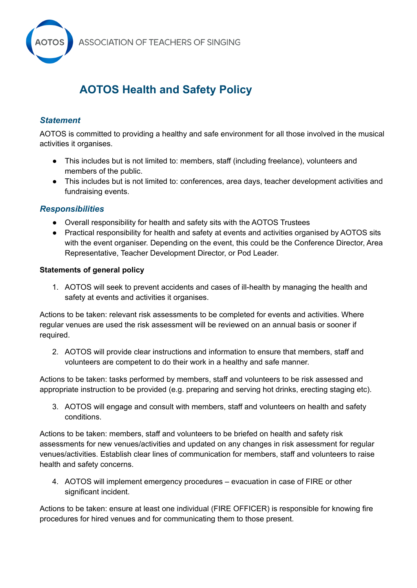

# **AOTOS Health and Safety Policy**

## *Statement*

AOTOS is committed to providing a healthy and safe environment for all those involved in the musical activities it organises.

- This includes but is not limited to: members, staff (including freelance), volunteers and members of the public.
- This includes but is not limited to: conferences, area days, teacher development activities and fundraising events.

### *Responsibilities*

- Overall responsibility for health and safety sits with the AOTOS Trustees
- Practical responsibility for health and safety at events and activities organised by AOTOS sits with the event organiser. Depending on the event, this could be the Conference Director, Area Representative, Teacher Development Director, or Pod Leader.

#### **Statements of general policy**

1. AOTOS will seek to prevent accidents and cases of ill-health by managing the health and safety at events and activities it organises.

Actions to be taken: relevant risk assessments to be completed for events and activities. Where regular venues are used the risk assessment will be reviewed on an annual basis or sooner if required.

2. AOTOS will provide clear instructions and information to ensure that members, staff and volunteers are competent to do their work in a healthy and safe manner.

Actions to be taken: tasks performed by members, staff and volunteers to be risk assessed and appropriate instruction to be provided (e.g. preparing and serving hot drinks, erecting staging etc).

3. AOTOS will engage and consult with members, staff and volunteers on health and safety conditions.

Actions to be taken: members, staff and volunteers to be briefed on health and safety risk assessments for new venues/activities and updated on any changes in risk assessment for regular venues/activities. Establish clear lines of communication for members, staff and volunteers to raise health and safety concerns.

4. AOTOS will implement emergency procedures – evacuation in case of FIRE or other significant incident.

Actions to be taken: ensure at least one individual (FIRE OFFICER) is responsible for knowing fire procedures for hired venues and for communicating them to those present.